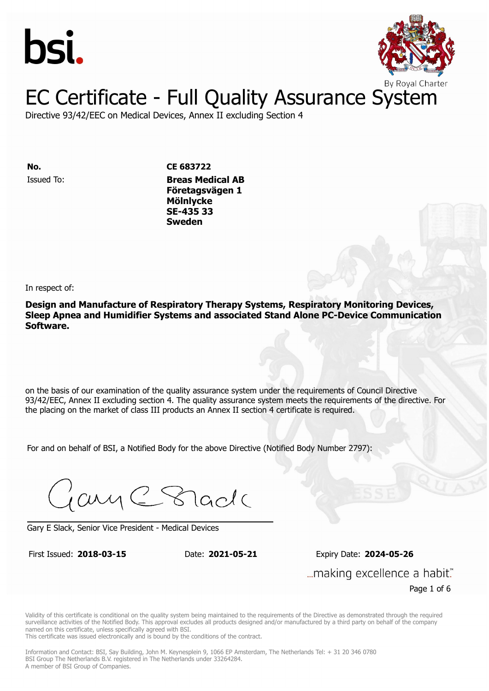



Directive 93/42/EEC on Medical Devices, Annex II excluding Section 4

Issued To: **Breas Medical AB No. CE 683722 Företagsvägen 1 Mölnlycke** Issued To: **Breas Medical AB SE-435 33 Företagsvägen 1 Sweden Mölnlycke SE-435 33 Sweden**

In respect of:

**Design and Manufacture of Respiratory Therapy Systems, Respiratory Monitoring Devices, Sleep Apnea and Humidifier Systems and associated Stand Alone PC-Device Communication Software.**

on the basis of our examination of the quality assurance system under the requirements of Council Directive 93/42/EEC, Annex II excluding section 4. The quality assurance system meets the requirements of the directive. For the placing on the market of class III products an Annex II section 4 certificate is required.

For and on behalf of BSI, a Notified Body for the above Directive (Notified Body Number 2797):

Gary C Stade

Gary E Slack, Senior Vice President - Medical Devices

First Issued: **2018-03-15** Date: **2021-05-21** Expiry Date: **2024-05-26**

First Issued: **2018-03-15** Date: **2021-05-21** Expiry Date: **2024-05-26** "...making excellence a habit. Page 1 of 6

Validity of this certificate is conditional on the quality system being maintained to the requirements of the Directive as demonstrated through the required surveillance activities of the Notified Body. This approval excludes all products designed and/or manufactured by a third party on behalf of the company named on this certificate, unless specifically agreed with BSI.

This certificate was issued electronically and is bound by the conditions of the contract.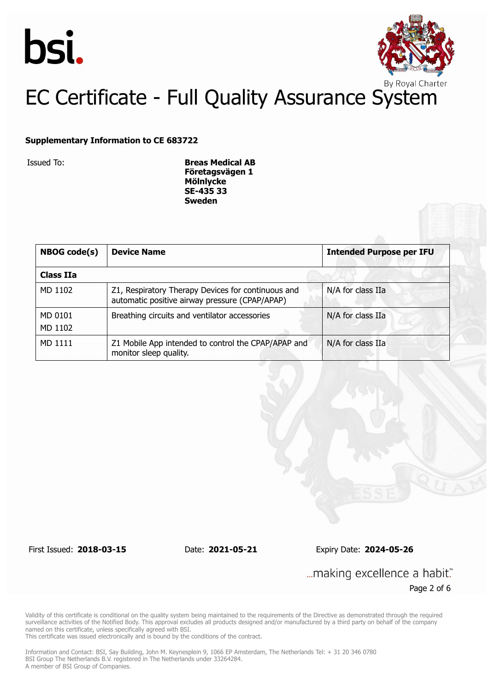



#### **Supplementary Information to CE 683722**

Issued To: **Breas Medical AB Företagsvägen 1 Mölnlycke SE-435 33 Sweden**

| <b>NBOG</b> code(s) | <b>Device Name</b>                                                                                   | <b>Intended Purpose per IFU</b> |
|---------------------|------------------------------------------------------------------------------------------------------|---------------------------------|
| Class IIa           |                                                                                                      |                                 |
| MD 1102             | Z1, Respiratory Therapy Devices for continuous and<br>automatic positive airway pressure (CPAP/APAP) | N/A for class IIa               |
| MD 0101<br>MD 1102  | Breathing circuits and ventilator accessories                                                        | N/A for class IIa               |
| MD 1111             | Z1 Mobile App intended to control the CPAP/APAP and<br>monitor sleep quality.                        | N/A for class IIa               |

First Issued: **2018-03-15** Date: **2021-05-21** Expiry Date: **2024-05-26**

... making excellence a habit." Page 2 of 6

Validity of this certificate is conditional on the quality system being maintained to the requirements of the Directive as demonstrated through the required surveillance activities of the Notified Body. This approval excludes all products designed and/or manufactured by a third party on behalf of the company named on this certificate, unless specifically agreed with BSI.

This certificate was issued electronically and is bound by the conditions of the contract.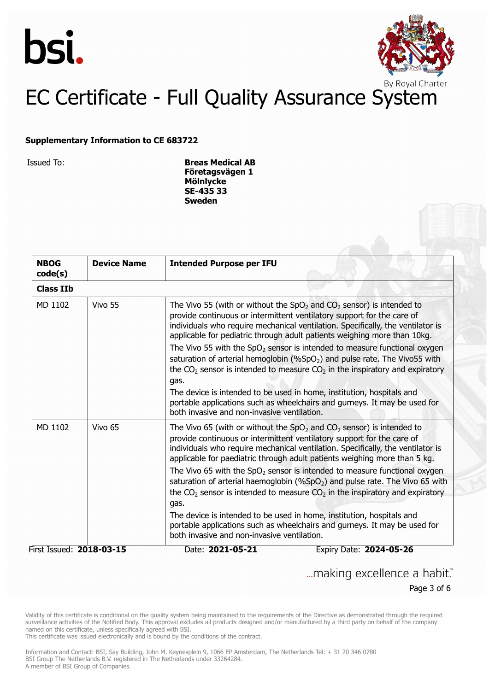



#### **Supplementary Information to CE 683722**

Issued To: **Breas Medical AB Företagsvägen 1 Mölnlycke SE-435 33 Sweden**

| <b>NBOG</b><br>code(s) | <b>Device Name</b>       | <b>Intended Purpose per IFU</b>                                                                                                                                                                                                                                                                                    |
|------------------------|--------------------------|--------------------------------------------------------------------------------------------------------------------------------------------------------------------------------------------------------------------------------------------------------------------------------------------------------------------|
| <b>Class IIb</b>       |                          |                                                                                                                                                                                                                                                                                                                    |
| MD 1102                | Vivo 55                  | The Vivo 55 (with or without the $SpO2$ and $CO2$ sensor) is intended to<br>provide continuous or intermittent ventilatory support for the care of<br>individuals who require mechanical ventilation. Specifically, the ventilator is<br>applicable for pediatric through adult patients weighing more than 10kg.  |
|                        |                          | The Vivo 55 with the $SpO2$ sensor is intended to measure functional oxygen<br>saturation of arterial hemoglobin (%SpO <sub>2</sub> ) and pulse rate. The Vivo55 with<br>the $CO2$ sensor is intended to measure $CO2$ in the inspiratory and expiratory<br>gas.                                                   |
|                        |                          | The device is intended to be used in home, institution, hospitals and<br>portable applications such as wheelchairs and gurneys. It may be used for<br>both invasive and non-invasive ventilation.                                                                                                                  |
| MD 1102                | Vivo 65                  | The Vivo 65 (with or without the $SpO2$ and $CO2$ sensor) is intended to<br>provide continuous or intermittent ventilatory support for the care of<br>individuals who require mechanical ventilation. Specifically, the ventilator is<br>applicable for paediatric through adult patients weighing more than 5 kg. |
|                        |                          | The Vivo 65 with the $SpO2$ sensor is intended to measure functional oxygen<br>saturation of arterial haemoglobin (%SpO <sub>2</sub> ) and pulse rate. The Vivo 65 with<br>the $CO2$ sensor is intended to measure $CO2$ in the inspiratory and expiratory<br>gas.                                                 |
|                        |                          | The device is intended to be used in home, institution, hospitals and<br>portable applications such as wheelchairs and gurneys. It may be used for<br>both invasive and non-invasive ventilation.                                                                                                                  |
|                        | First Issued: 2018-03-15 | Date: 2021-05-21<br>Expiry Date: 2024-05-26                                                                                                                                                                                                                                                                        |

... making excellence a habit." Page 3 of 6

Validity of this certificate is conditional on the quality system being maintained to the requirements of the Directive as demonstrated through the required surveillance activities of the Notified Body. This approval excludes all products designed and/or manufactured by a third party on behalf of the company named on this certificate, unless specifically agreed with BSI.

This certificate was issued electronically and is bound by the conditions of the contract.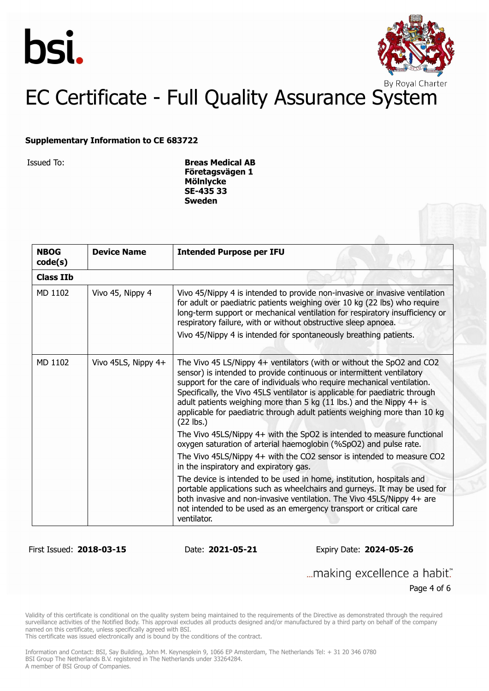



#### **Supplementary Information to CE 683722**

Issued To: **Breas Medical AB Företagsvägen 1 Mölnlycke SE-435 33 Sweden**

| <b>NBOG</b><br>code(s) | <b>Device Name</b>  | <b>Intended Purpose per IFU</b>                                                                                                                                                                                                                                                                                                                                                                                                                                                                                                                                                                                                                                                                                                                                                                                                                                                                                                                                                                                                                                       |
|------------------------|---------------------|-----------------------------------------------------------------------------------------------------------------------------------------------------------------------------------------------------------------------------------------------------------------------------------------------------------------------------------------------------------------------------------------------------------------------------------------------------------------------------------------------------------------------------------------------------------------------------------------------------------------------------------------------------------------------------------------------------------------------------------------------------------------------------------------------------------------------------------------------------------------------------------------------------------------------------------------------------------------------------------------------------------------------------------------------------------------------|
| <b>Class IIb</b>       |                     |                                                                                                                                                                                                                                                                                                                                                                                                                                                                                                                                                                                                                                                                                                                                                                                                                                                                                                                                                                                                                                                                       |
| MD 1102                | Vivo 45, Nippy 4    | Vivo 45/Nippy 4 is intended to provide non-invasive or invasive ventilation<br>for adult or paediatric patients weighing over 10 kg (22 lbs) who require<br>long-term support or mechanical ventilation for respiratory insufficiency or<br>respiratory failure, with or without obstructive sleep apnoea.<br>Vivo 45/Nippy 4 is intended for spontaneously breathing patients.                                                                                                                                                                                                                                                                                                                                                                                                                                                                                                                                                                                                                                                                                       |
| MD 1102                | Vivo 45LS, Nippy 4+ | The Vivo 45 LS/Nippy 4+ ventilators (with or without the SpO2 and CO2<br>sensor) is intended to provide continuous or intermittent ventilatory<br>support for the care of individuals who require mechanical ventilation.<br>Specifically, the Vivo 45LS ventilator is applicable for paediatric through<br>adult patients weighing more than 5 kg (11 lbs.) and the Nippy $4+$ is<br>applicable for paediatric through adult patients weighing more than 10 kg<br>$(22$ lbs.)<br>The Vivo 45LS/Nippy 4+ with the SpO2 is intended to measure functional<br>oxygen saturation of arterial haemoglobin (%SpO2) and pulse rate.<br>The Vivo 45LS/Nippy 4+ with the CO2 sensor is intended to measure CO2<br>in the inspiratory and expiratory gas.<br>The device is intended to be used in home, institution, hospitals and<br>portable applications such as wheelchairs and gurneys. It may be used for<br>both invasive and non-invasive ventilation. The Vivo 45LS/Nippy 4+ are<br>not intended to be used as an emergency transport or critical care<br>ventilator. |

First Issued: **2018-03-15** Date: **2021-05-21** Expiry Date: **2024-05-26**

... making excellence a habit." Page 4 of 6

Validity of this certificate is conditional on the quality system being maintained to the requirements of the Directive as demonstrated through the required surveillance activities of the Notified Body. This approval excludes all products designed and/or manufactured by a third party on behalf of the company named on this certificate, unless specifically agreed with BSI.

This certificate was issued electronically and is bound by the conditions of the contract.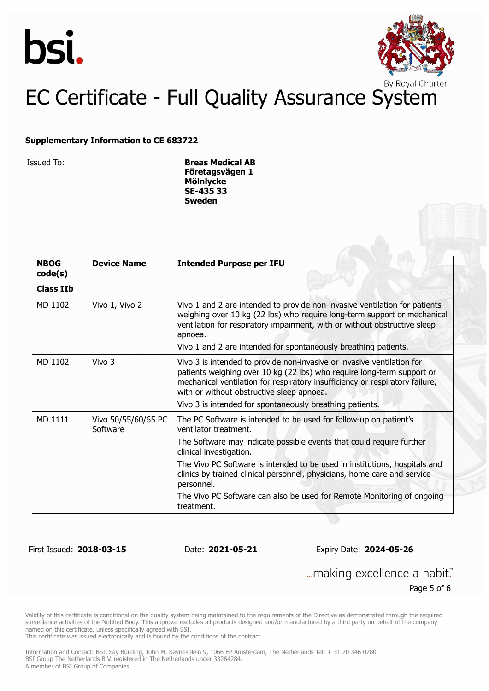



#### **Supplementary Information to CE 683722**

Issued To: **Breas Medical AB Företagsvägen 1 Mölnlycke SE-435 33 Sweden**

| <b>NBOG</b><br>code(s) | <b>Device Name</b>              | <b>Intended Purpose per IFU</b>                                                                                                                                                                                                                                                                                                           |  |
|------------------------|---------------------------------|-------------------------------------------------------------------------------------------------------------------------------------------------------------------------------------------------------------------------------------------------------------------------------------------------------------------------------------------|--|
| <b>Class IIb</b>       |                                 |                                                                                                                                                                                                                                                                                                                                           |  |
| MD 1102                | Vivo 1, Vivo 2                  | Vivo 1 and 2 are intended to provide non-invasive ventilation for patients<br>weighing over 10 kg (22 lbs) who require long-term support or mechanical<br>ventilation for respiratory impairment, with or without obstructive sleep<br>apnoea.                                                                                            |  |
|                        |                                 | Vivo 1 and 2 are intended for spontaneously breathing patients.                                                                                                                                                                                                                                                                           |  |
| MD 1102                | Vivo 3                          | Vivo 3 is intended to provide non-invasive or invasive ventilation for<br>patients weighing over 10 kg (22 lbs) who require long-term support or<br>mechanical ventilation for respiratory insufficiency or respiratory failure,<br>with or without obstructive sleep apnoea.<br>Vivo 3 is intended for spontaneously breathing patients. |  |
| MD 1111                | Vivo 50/55/60/65 PC<br>Software | The PC Software is intended to be used for follow-up on patient's<br>ventilator treatment.                                                                                                                                                                                                                                                |  |
|                        |                                 | The Software may indicate possible events that could require further<br>clinical investigation.                                                                                                                                                                                                                                           |  |
|                        |                                 | The Vivo PC Software is intended to be used in institutions, hospitals and<br>clinics by trained clinical personnel, physicians, home care and service<br>personnel.                                                                                                                                                                      |  |
|                        |                                 | The Vivo PC Software can also be used for Remote Monitoring of ongoing<br>treatment.                                                                                                                                                                                                                                                      |  |

First Issued: **2018-03-15** Date: **2021-05-21** Expiry Date: **2024-05-26**

... making excellence a habit." Page 5 of 6

Validity of this certificate is conditional on the quality system being maintained to the requirements of the Directive as demonstrated through the required surveillance activities of the Notified Body. This approval excludes all products designed and/or manufactured by a third party on behalf of the company named on this certificate, unless specifically agreed with BSI.

This certificate was issued electronically and is bound by the conditions of the contract.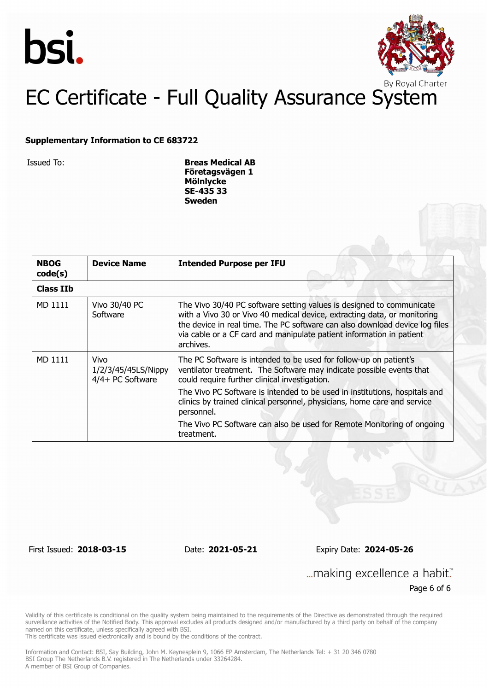



#### **Supplementary Information to CE 683722**

Issued To: **Breas Medical AB Företagsvägen 1 Mölnlycke SE-435 33 Sweden**

| <b>NBOG</b><br>code(s) | <b>Device Name</b>                               | <b>Intended Purpose per IFU</b>                                                                                                                                                                                                                                                                                      |  |
|------------------------|--------------------------------------------------|----------------------------------------------------------------------------------------------------------------------------------------------------------------------------------------------------------------------------------------------------------------------------------------------------------------------|--|
| <b>Class IIb</b>       |                                                  |                                                                                                                                                                                                                                                                                                                      |  |
| MD 1111                | Vivo 30/40 PC<br>Software                        | The Vivo 30/40 PC software setting values is designed to communicate<br>with a Vivo 30 or Vivo 40 medical device, extracting data, or monitoring<br>the device in real time. The PC software can also download device log files<br>via cable or a CF card and manipulate patient information in patient<br>archives. |  |
| MD 1111                | Vivo.<br>1/2/3/45/45LS/Nippy<br>4/4+ PC Software | The PC Software is intended to be used for follow-up on patient's<br>ventilator treatment. The Software may indicate possible events that<br>could require further clinical investigation.                                                                                                                           |  |
|                        |                                                  | The Vivo PC Software is intended to be used in institutions, hospitals and<br>clinics by trained clinical personnel, physicians, home care and service<br>personnel.                                                                                                                                                 |  |
|                        |                                                  | The Vivo PC Software can also be used for Remote Monitoring of ongoing<br>treatment.                                                                                                                                                                                                                                 |  |

First Issued: **2018-03-15** Date: **2021-05-21** Expiry Date: **2024-05-26**

#### ... making excellence a habit." Page 6 of 6

Validity of this certificate is conditional on the quality system being maintained to the requirements of the Directive as demonstrated through the required surveillance activities of the Notified Body. This approval excludes all products designed and/or manufactured by a third party on behalf of the company named on this certificate, unless specifically agreed with BSI.

This certificate was issued electronically and is bound by the conditions of the contract.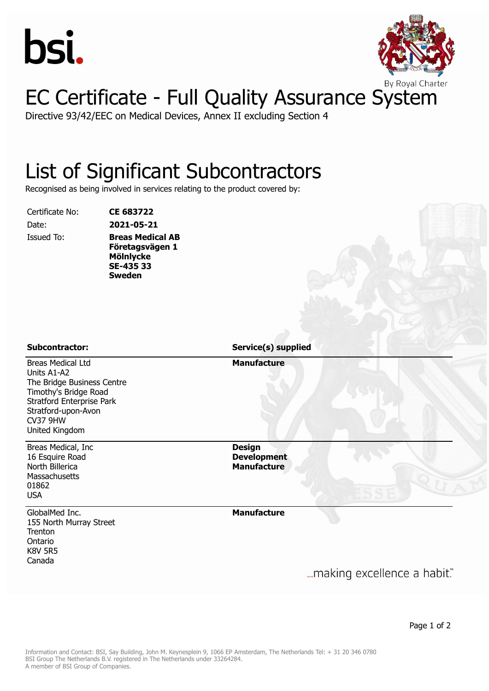



Directive 93/42/EEC on Medical Devices, Annex II excluding Section 4

#### List of Significant Subcontractors

Recognised as being involved in services relating to the product covered by:

Certificate No: **CE 683722**

Date: **2021-05-21** Issued To: **Breas Medical AB Företagsvägen 1 Mölnlycke SE-435 33 Sweden**

| <b>Subcontractor:</b>                                                                                                                                                                   | <b>Service(s) supplied</b>                                |
|-----------------------------------------------------------------------------------------------------------------------------------------------------------------------------------------|-----------------------------------------------------------|
| <b>Breas Medical Ltd</b><br>Units A1-A2<br>The Bridge Business Centre<br>Timothy's Bridge Road<br><b>Stratford Enterprise Park</b><br>Stratford-upon-Avon<br>CV37 9HW<br>United Kingdom | <b>Manufacture</b>                                        |
| Breas Medical, Inc<br>16 Esquire Road<br>North Billerica<br>Massachusetts<br>01862<br><b>USA</b>                                                                                        | <b>Design</b><br><b>Development</b><br><b>Manufacture</b> |
| GlobalMed Inc.<br>155 North Murray Street<br>Trenton<br>Ontario<br><b>K8V 5R5</b><br>Canada                                                                                             | <b>Manufacture</b>                                        |

... making excellence a habit."

Page 1 of 2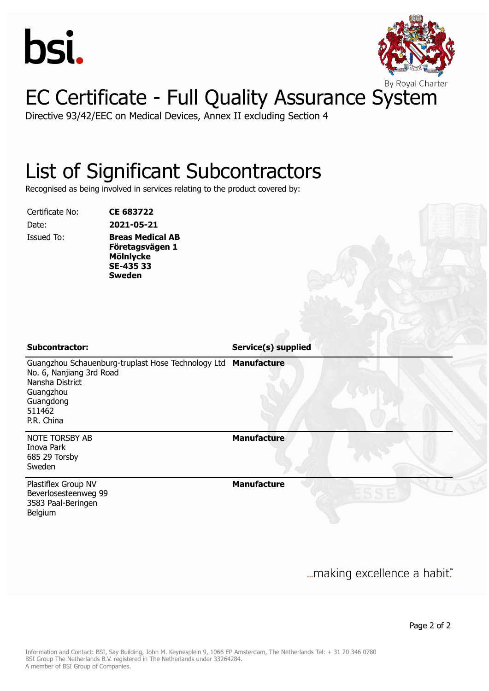



Directive 93/42/EEC on Medical Devices, Annex II excluding Section 4

#### List of Significant Subcontractors

Recognised as being involved in services relating to the product covered by:

Certificate No: **CE 683722**

Date: **2021-05-21** Issued To: **Breas Medical AB Företagsvägen 1 Mölnlycke SE-435 33 Sweden**

**Subcontractor: Service(s) supplied**

Guangzhou Schauenburg-truplast Hose Technology Ltd **Manufacture** No. 6, Nanjiang 3rd Road Nansha District Guangzhou Guangdong 511462 P.R. China

NOTE TORSBY AB Inova Park 685 29 Torsby Sweden

Plastiflex Group NV Beverlosesteenweg 99 3583 Paal-Beringen Belgium

**Manufacture**

**Manufacture**

... making excellence a habit."

Page 2 of 2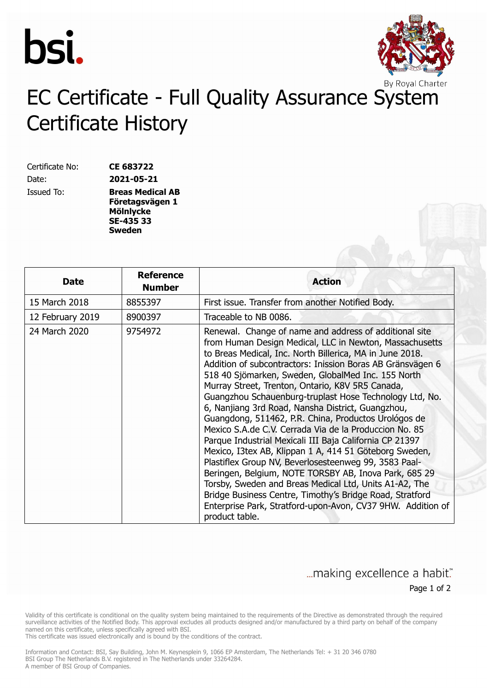



### EC Certificate - Full Quality Assurance System Certificate History

Certificate No: **CE 683722** Date: **2021-05-21**

Issued To: **Breas Medical AB Företagsvägen 1 Mölnlycke SE-435 33 Sweden**

| <b>Date</b>      | <b>Reference</b><br><b>Number</b> | <b>Action</b>                                                                                                                                                                                                                                                                                                                                                                                                                                                                                                                                                                                                                                                                                                                                                                                                                                                                                                                                                                                                                         |
|------------------|-----------------------------------|---------------------------------------------------------------------------------------------------------------------------------------------------------------------------------------------------------------------------------------------------------------------------------------------------------------------------------------------------------------------------------------------------------------------------------------------------------------------------------------------------------------------------------------------------------------------------------------------------------------------------------------------------------------------------------------------------------------------------------------------------------------------------------------------------------------------------------------------------------------------------------------------------------------------------------------------------------------------------------------------------------------------------------------|
| 15 March 2018    | 8855397                           | First issue. Transfer from another Notified Body.                                                                                                                                                                                                                                                                                                                                                                                                                                                                                                                                                                                                                                                                                                                                                                                                                                                                                                                                                                                     |
| 12 February 2019 | 8900397                           | Traceable to NB 0086.                                                                                                                                                                                                                                                                                                                                                                                                                                                                                                                                                                                                                                                                                                                                                                                                                                                                                                                                                                                                                 |
| 24 March 2020    | 9754972                           | Renewal. Change of name and address of additional site<br>from Human Design Medical, LLC in Newton, Massachusetts<br>to Breas Medical, Inc. North Billerica, MA in June 2018.<br>Addition of subcontractors: Inission Boras AB Gränsvägen 6<br>518 40 Sjömarken, Sweden, GlobalMed Inc. 155 North<br>Murray Street, Trenton, Ontario, K8V 5R5 Canada,<br>Guangzhou Schauenburg-truplast Hose Technology Ltd, No.<br>6, Nanjiang 3rd Road, Nansha District, Guangzhou,<br>Guangdong, 511462, P.R. China, Productos Urológos de<br>Mexico S.A.de C.V. Cerrada Via de la Produccion No. 85<br>Parque Industrial Mexicali III Baja California CP 21397<br>Mexico, I3tex AB, Klippan 1 A, 414 51 Göteborg Sweden,<br>Plastiflex Group NV, Beverlosesteenweg 99, 3583 Paal-<br>Beringen, Belgium, NOTE TORSBY AB, Inova Park, 685 29<br>Torsby, Sweden and Breas Medical Ltd, Units A1-A2, The<br>Bridge Business Centre, Timothy's Bridge Road, Stratford<br>Enterprise Park, Stratford-upon-Avon, CV37 9HW. Addition of<br>product table. |

#### ... making excellence a habit." Page 1 of 2

Validity of this certificate is conditional on the quality system being maintained to the requirements of the Directive as demonstrated through the required surveillance activities of the Notified Body. This approval excludes all products designed and/or manufactured by a third party on behalf of the company named on this certificate, unless specifically agreed with BSI.

This certificate was issued electronically and is bound by the conditions of the contract.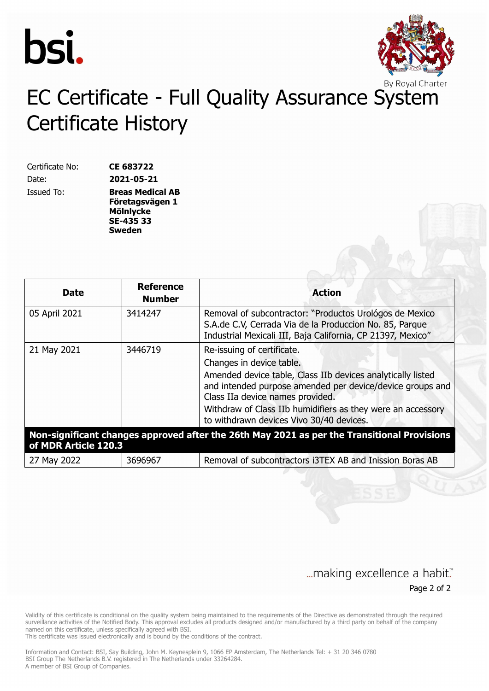



# EC Certificate - Full Quality Assurance System Certificate History

Certificate No: **CE 683722** Date: **2021-05-21**

Issued To: **Breas Medical AB Företagsvägen 1 Mölnlycke SE-435 33 Sweden**

|                                                                                                                     | Reference     |                                                                                                                                                                                   |
|---------------------------------------------------------------------------------------------------------------------|---------------|-----------------------------------------------------------------------------------------------------------------------------------------------------------------------------------|
| <b>Date</b>                                                                                                         | <b>Number</b> | <b>Action</b>                                                                                                                                                                     |
| 05 April 2021                                                                                                       | 3414247       | Removal of subcontractor: "Productos Urológos de Mexico<br>S.A.de C.V, Cerrada Via de la Produccion No. 85, Parque<br>Industrial Mexicali III, Baja California, CP 21397, Mexico" |
| 21 May 2021                                                                                                         | 3446719       | Re-issuing of certificate.<br>Changes in device table.                                                                                                                            |
|                                                                                                                     |               | Amended device table, Class IIb devices analytically listed<br>and intended purpose amended per device/device groups and<br>Class IIa device names provided.                      |
|                                                                                                                     |               | Withdraw of Class IIb humidifiers as they were an accessory<br>to withdrawn devices Vivo 30/40 devices.                                                                           |
| Non-significant changes approved after the 26th May 2021 as per the Transitional Provisions<br>of MDR Article 120.3 |               |                                                                                                                                                                                   |
| 27 May 2022                                                                                                         | 3696967       | Removal of subcontractors i3TEX AB and Inission Boras AB                                                                                                                          |

#### ... making excellence a habit." Page 2 of 2

Validity of this certificate is conditional on the quality system being maintained to the requirements of the Directive as demonstrated through the required surveillance activities of the Notified Body. This approval excludes all products designed and/or manufactured by a third party on behalf of the company named on this certificate, unless specifically agreed with BSI.

This certificate was issued electronically and is bound by the conditions of the contract.